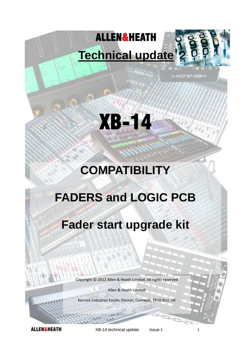# ALLEN&HEATH **Technical update**

nin



xone:pa4

# XB-14

# **COMPATIBILITY**

## **FADERS and LOGIC PCB**

## **Fader start upgrade kit**

Copyright © 2012 Allen & Heath Limited. All rights reserved

Allen & Heath Limited

Kernick Industrial Estate, Penryn, Cornwall, TR10 9LU, UK

**ALLEN&HEATH** XB-14 technical update Issue 1 1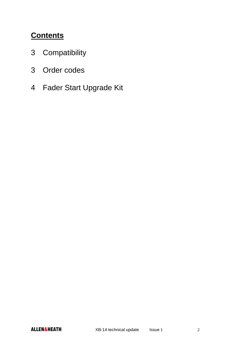## **Contents**

- 3 Compatibility
- 3 Order codes
- 4 Fader Start Upgrade Kit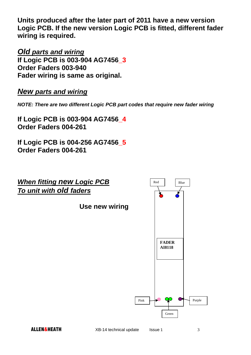**Units produced after the later part of 2011 have a new version Logic PCB. If the new version Logic PCB is fitted, different fader wiring is required.** 

*Old parts and wiring* 

**If Logic PCB is 003-904 AG7456\_3 Order Faders 003-940 Fader wiring is same as original.** 

#### *New parts and wiring*

*NOTE: There are two different Logic PCB part codes that require new fader wiring* 

**If Logic PCB is 003-904 AG7456\_4 Order Faders 004-261** 

**If Logic PCB is 004-256 AG7456\_5 Order Faders 004-261**